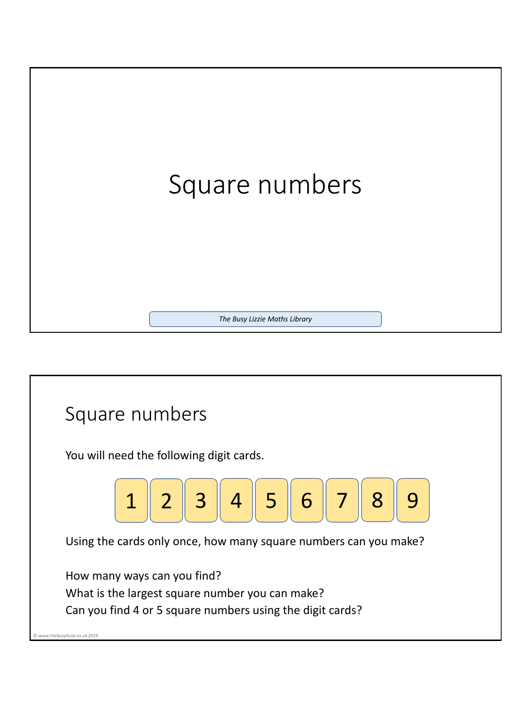